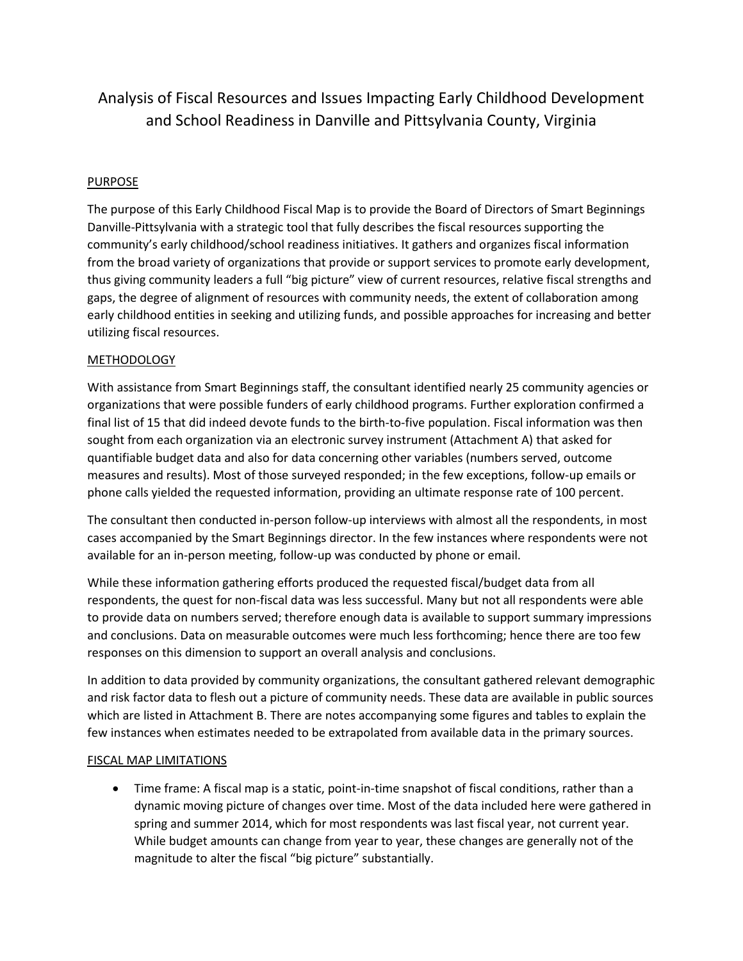## Analysis of Fiscal Resources and Issues Impacting Early Childhood Development and School Readiness in Danville and Pittsylvania County, Virginia

## PURPOSE

The purpose of this Early Childhood Fiscal Map is to provide the Board of Directors of Smart Beginnings Danville-Pittsylvania with a strategic tool that fully describes the fiscal resources supporting the community's early childhood/school readiness initiatives. It gathers and organizes fiscal information from the broad variety of organizations that provide or support services to promote early development, thus giving community leaders a full "big picture" view of current resources, relative fiscal strengths and gaps, the degree of alignment of resources with community needs, the extent of collaboration among early childhood entities in seeking and utilizing funds, and possible approaches for increasing and better utilizing fiscal resources.

### METHODOLOGY

With assistance from Smart Beginnings staff, the consultant identified nearly 25 community agencies or organizations that were possible funders of early childhood programs. Further exploration confirmed a final list of 15 that did indeed devote funds to the birth-to-five population. Fiscal information was then sought from each organization via an electronic survey instrument (Attachment A) that asked for quantifiable budget data and also for data concerning other variables (numbers served, outcome measures and results). Most of those surveyed responded; in the few exceptions, follow-up emails or phone calls yielded the requested information, providing an ultimate response rate of 100 percent.

The consultant then conducted in-person follow-up interviews with almost all the respondents, in most cases accompanied by the Smart Beginnings director. In the few instances where respondents were not available for an in-person meeting, follow-up was conducted by phone or email.

While these information gathering efforts produced the requested fiscal/budget data from all respondents, the quest for non-fiscal data was less successful. Many but not all respondents were able to provide data on numbers served; therefore enough data is available to support summary impressions and conclusions. Data on measurable outcomes were much less forthcoming; hence there are too few responses on this dimension to support an overall analysis and conclusions.

In addition to data provided by community organizations, the consultant gathered relevant demographic and risk factor data to flesh out a picture of community needs. These data are available in public sources which are listed in Attachment B. There are notes accompanying some figures and tables to explain the few instances when estimates needed to be extrapolated from available data in the primary sources.

### FISCAL MAP LIMITATIONS

 Time frame: A fiscal map is a static, point-in-time snapshot of fiscal conditions, rather than a dynamic moving picture of changes over time. Most of the data included here were gathered in spring and summer 2014, which for most respondents was last fiscal year, not current year. While budget amounts can change from year to year, these changes are generally not of the magnitude to alter the fiscal "big picture" substantially.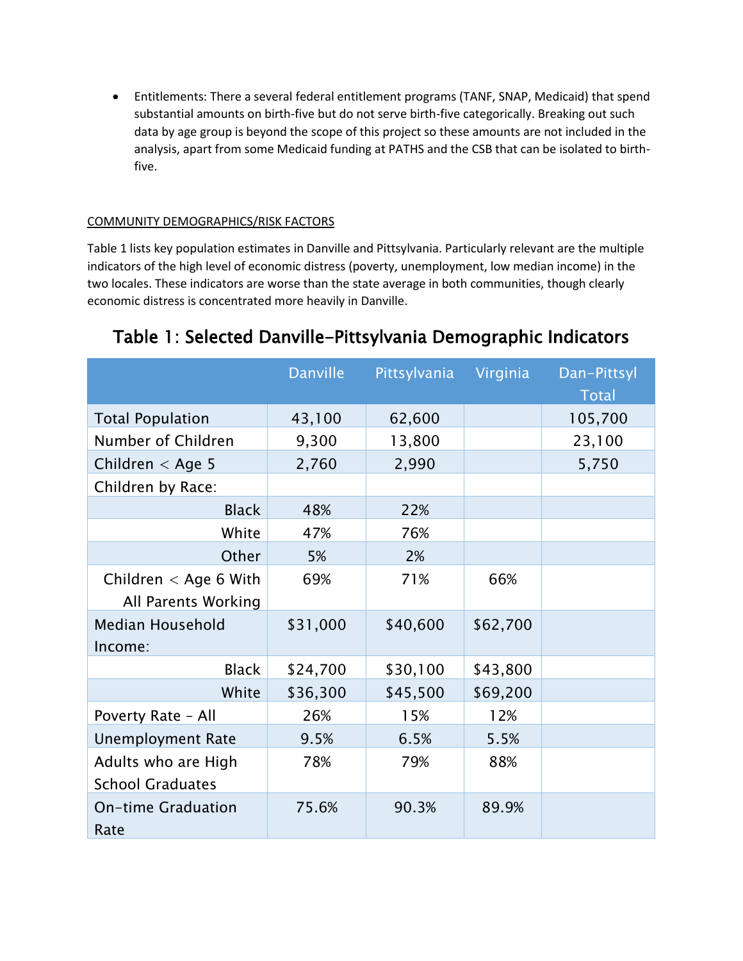Entitlements: There a several federal entitlement programs (TANF, SNAP, Medicaid) that spend substantial amounts on birth-five but do not serve birth-five categorically. Breaking out such data by age group is beyond the scope of this project so these amounts are not included in the analysis, apart from some Medicaid funding at PATHS and the CSB that can be isolated to birthfive.

## COMMUNITY DEMOGRAPHICS/RISK FACTORS

Table 1 lists key population estimates in Danville and Pittsylvania. Particularly relevant are the multiple indicators of the high level of economic distress (poverty, unemployment, low median income) in the two locales. These indicators are worse than the state average in both communities, though clearly economic distress is concentrated more heavily in Danville.

|                                                | <b>Danville</b> | Pittsylvania | Virginia | Dan-Pittsyl<br><b>Total</b> |
|------------------------------------------------|-----------------|--------------|----------|-----------------------------|
| <b>Total Population</b>                        | 43,100          | 62,600       |          | 105,700                     |
| Number of Children                             | 9,300           | 13,800       |          | 23,100                      |
| Children $<$ Age 5                             | 2,760           | 2,990        |          | 5,750                       |
| Children by Race:                              |                 |              |          |                             |
| <b>Black</b>                                   | 48%             | 22%          |          |                             |
| White                                          | 47%             | 76%          |          |                             |
| Other                                          | 5%              | 2%           |          |                             |
| Children $<$ Age 6 With<br>All Parents Working | 69%             | 71%          | 66%      |                             |
| Median Household<br>Income:                    | \$31,000        | \$40,600     | \$62,700 |                             |
| <b>Black</b>                                   | \$24,700        | \$30,100     | \$43,800 |                             |
| White                                          | \$36,300        | \$45,500     | \$69,200 |                             |
| Poverty Rate - All                             | 26%             | 15%          | 12%      |                             |
| <b>Unemployment Rate</b>                       | 9.5%            | 6.5%         | 5.5%     |                             |
| Adults who are High<br><b>School Graduates</b> | 78%             | 79%          | 88%      |                             |
| <b>On-time Graduation</b><br>Rate              | 75.6%           | 90.3%        | 89.9%    |                             |

# Table 1: Selected Danville-Pittsylvania Demographic Indicators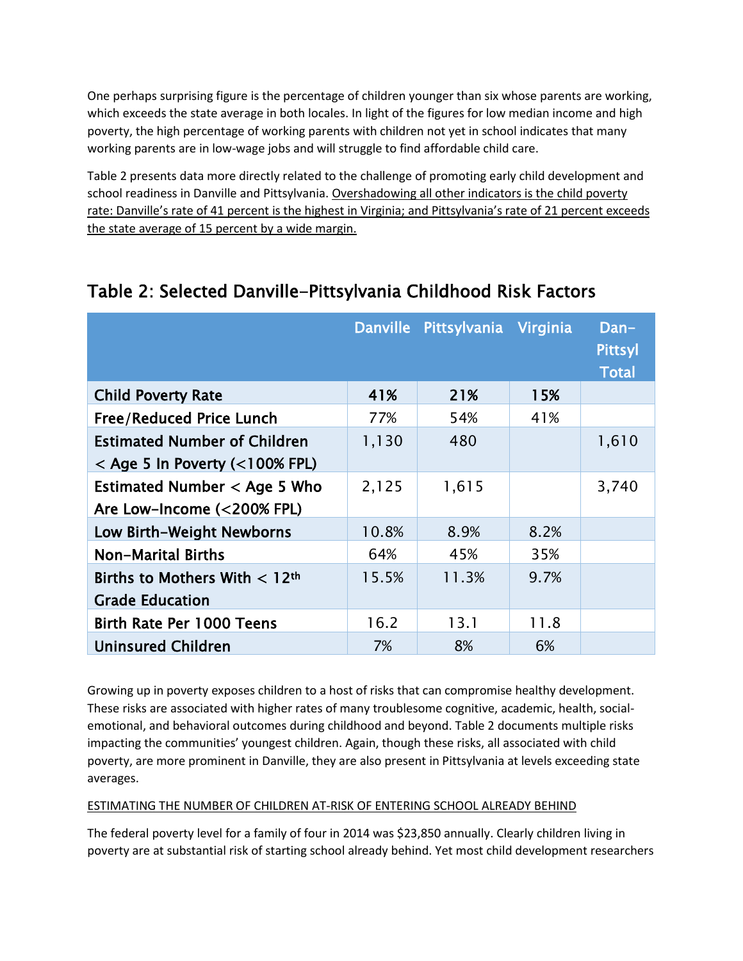One perhaps surprising figure is the percentage of children younger than six whose parents are working, which exceeds the state average in both locales. In light of the figures for low median income and high poverty, the high percentage of working parents with children not yet in school indicates that many working parents are in low-wage jobs and will struggle to find affordable child care.

Table 2 presents data more directly related to the challenge of promoting early child development and school readiness in Danville and Pittsylvania. Overshadowing all other indicators is the child poverty rate: Danville's rate of 41 percent is the highest in Virginia; and Pittsylvania's rate of 21 percent exceeds the state average of 15 percent by a wide margin.

|                                                                             |       | Danville Pittsylvania Virginia |      | Dan-<br><b>Pittsyl</b><br><b>Total</b> |
|-----------------------------------------------------------------------------|-------|--------------------------------|------|----------------------------------------|
| <b>Child Poverty Rate</b>                                                   | 41%   | 21%                            | 15%  |                                        |
| <b>Free/Reduced Price Lunch</b>                                             | 77%   | 54%                            | 41%  |                                        |
| <b>Estimated Number of Children</b><br>$<$ Age 5 In Poverty ( $<$ 100% FPL) | 1,130 | 480                            |      | 1,610                                  |
| Estimated Number $<$ Age 5 Who<br>Are Low-Income (<200% FPL)                | 2,125 | 1,615                          |      | 3,740                                  |
| <b>Low Birth-Weight Newborns</b>                                            | 10.8% | 8.9%                           | 8.2% |                                        |
| <b>Non-Marital Births</b>                                                   | 64%   | 45%                            | 35%  |                                        |
| Births to Mothers With $< 12$ <sup>th</sup><br><b>Grade Education</b>       | 15.5% | 11.3%                          | 9.7% |                                        |
| Birth Rate Per 1000 Teens                                                   | 16.2  | 13.1                           | 11.8 |                                        |
| <b>Uninsured Children</b>                                                   | 7%    | 8%                             | 6%   |                                        |

# Table 2: Selected Danville-Pittsylvania Childhood Risk Factors

Growing up in poverty exposes children to a host of risks that can compromise healthy development. These risks are associated with higher rates of many troublesome cognitive, academic, health, socialemotional, and behavioral outcomes during childhood and beyond. Table 2 documents multiple risks impacting the communities' youngest children. Again, though these risks, all associated with child poverty, are more prominent in Danville, they are also present in Pittsylvania at levels exceeding state averages.

## ESTIMATING THE NUMBER OF CHILDREN AT-RISK OF ENTERING SCHOOL ALREADY BEHIND

The federal poverty level for a family of four in 2014 was \$23,850 annually. Clearly children living in poverty are at substantial risk of starting school already behind. Yet most child development researchers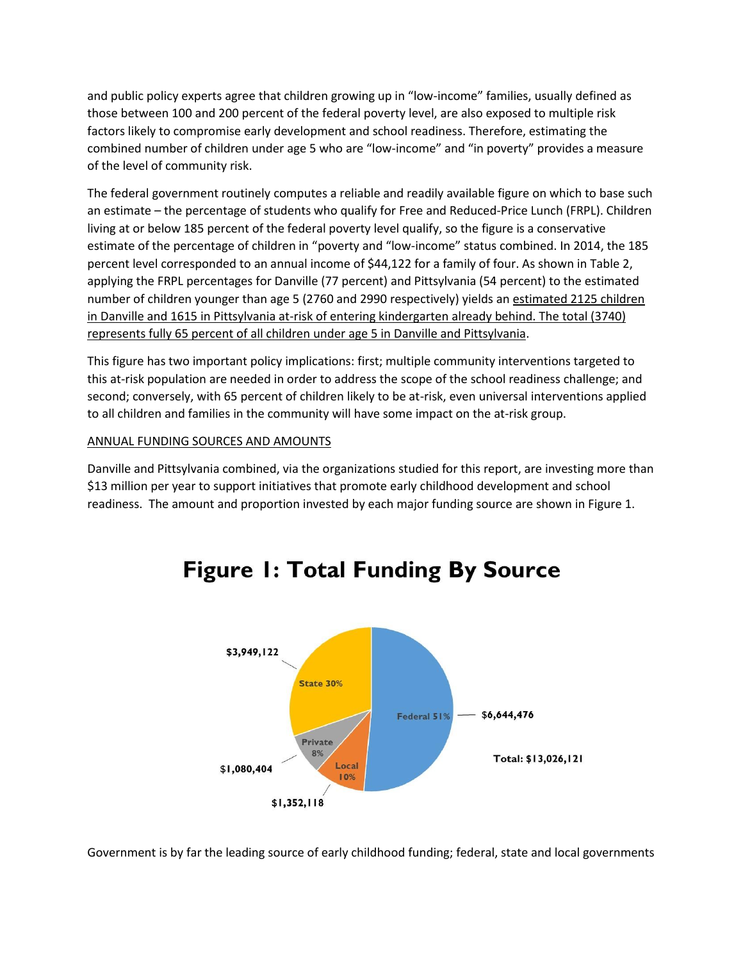and public policy experts agree that children growing up in "low-income" families, usually defined as those between 100 and 200 percent of the federal poverty level, are also exposed to multiple risk factors likely to compromise early development and school readiness. Therefore, estimating the combined number of children under age 5 who are "low-income" and "in poverty" provides a measure of the level of community risk.

The federal government routinely computes a reliable and readily available figure on which to base such an estimate – the percentage of students who qualify for Free and Reduced-Price Lunch (FRPL). Children living at or below 185 percent of the federal poverty level qualify, so the figure is a conservative estimate of the percentage of children in "poverty and "low-income" status combined. In 2014, the 185 percent level corresponded to an annual income of \$44,122 for a family of four. As shown in Table 2, applying the FRPL percentages for Danville (77 percent) and Pittsylvania (54 percent) to the estimated number of children younger than age 5 (2760 and 2990 respectively) yields an estimated 2125 children in Danville and 1615 in Pittsylvania at-risk of entering kindergarten already behind. The total (3740) represents fully 65 percent of all children under age 5 in Danville and Pittsylvania.

This figure has two important policy implications: first; multiple community interventions targeted to this at-risk population are needed in order to address the scope of the school readiness challenge; and second; conversely, with 65 percent of children likely to be at-risk, even universal interventions applied to all children and families in the community will have some impact on the at-risk group.

### ANNUAL FUNDING SOURCES AND AMOUNTS

Danville and Pittsylvania combined, via the organizations studied for this report, are investing more than \$13 million per year to support initiatives that promote early childhood development and school readiness. The amount and proportion invested by each major funding source are shown in Figure 1.



# **Figure 1: Total Funding By Source**

Government is by far the leading source of early childhood funding; federal, state and local governments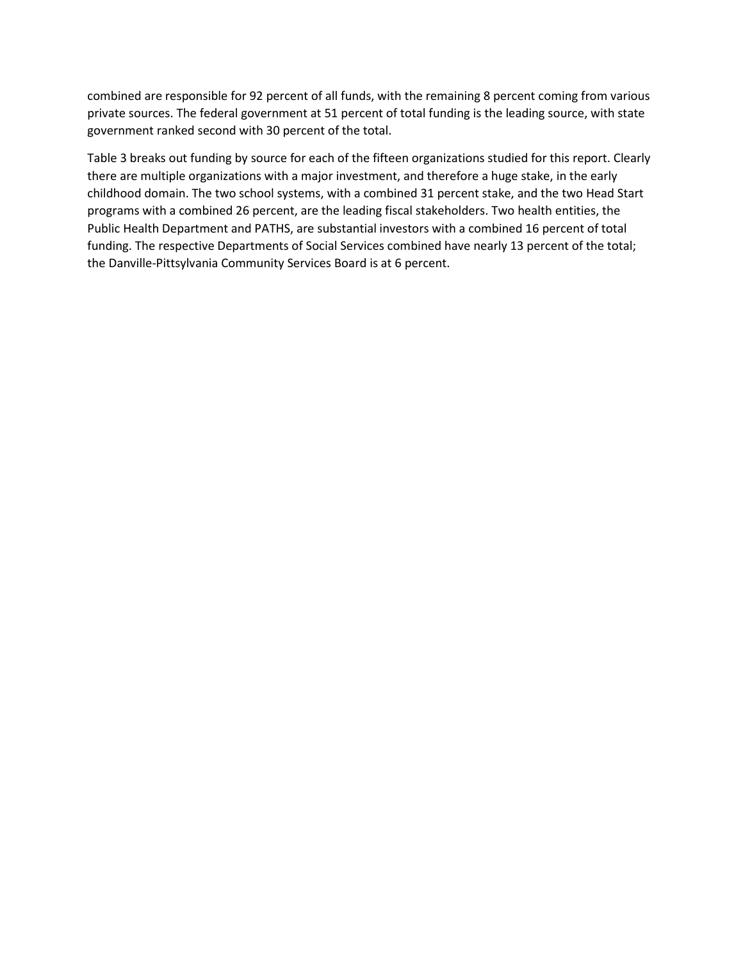combined are responsible for 92 percent of all funds, with the remaining 8 percent coming from various private sources. The federal government at 51 percent of total funding is the leading source, with state government ranked second with 30 percent of the total.

Table 3 breaks out funding by source for each of the fifteen organizations studied for this report. Clearly there are multiple organizations with a major investment, and therefore a huge stake, in the early childhood domain. The two school systems, with a combined 31 percent stake, and the two Head Start programs with a combined 26 percent, are the leading fiscal stakeholders. Two health entities, the Public Health Department and PATHS, are substantial investors with a combined 16 percent of total funding. The respective Departments of Social Services combined have nearly 13 percent of the total; the Danville-Pittsylvania Community Services Board is at 6 percent.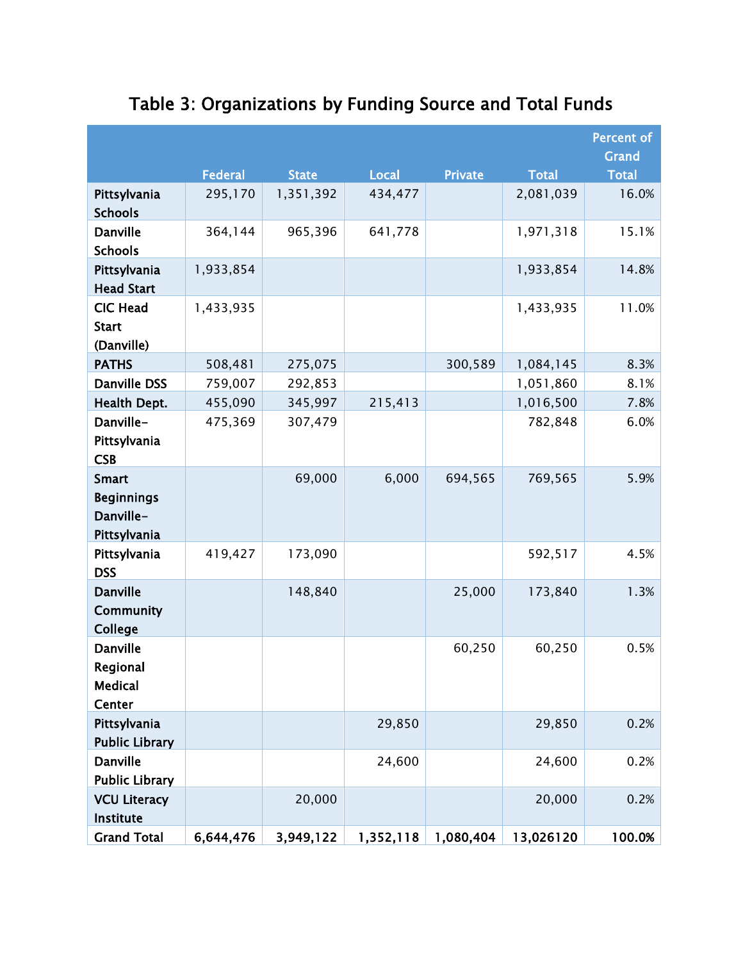|                                                                | <b>Federal</b> | <b>State</b> | <b>Local</b> | <b>Private</b>        | <b>Total</b> | <b>Percent of</b><br>Grand<br><b>Total</b> |
|----------------------------------------------------------------|----------------|--------------|--------------|-----------------------|--------------|--------------------------------------------|
| Pittsylvania<br><b>Schools</b>                                 | 295,170        | 1,351,392    | 434,477      |                       | 2,081,039    | 16.0%                                      |
| <b>Danville</b><br><b>Schools</b>                              | 364,144        | 965,396      | 641,778      |                       | 1,971,318    | 15.1%                                      |
| Pittsylvania<br><b>Head Start</b>                              | 1,933,854      |              |              |                       | 1,933,854    | 14.8%                                      |
| <b>CIC Head</b><br><b>Start</b><br>(Danville)                  | 1,433,935      |              |              |                       | 1,433,935    | 11.0%                                      |
| <b>PATHS</b>                                                   | 508,481        | 275,075      |              | 300,589               | 1,084,145    | 8.3%                                       |
| <b>Danville DSS</b>                                            | 759,007        | 292,853      |              |                       | 1,051,860    | 8.1%                                       |
| Health Dept.                                                   | 455,090        | 345,997      | 215,413      |                       | 1,016,500    | 7.8%                                       |
| Danville-<br>Pittsylvania<br><b>CSB</b>                        | 475,369        | 307,479      |              |                       | 782,848      | 6.0%                                       |
| <b>Smart</b><br><b>Beginnings</b><br>Danville-<br>Pittsylvania |                | 69,000       | 6,000        | 694,565               | 769,565      | 5.9%                                       |
| Pittsylvania<br><b>DSS</b>                                     | 419,427        | 173,090      |              |                       | 592,517      | 4.5%                                       |
| <b>Danville</b><br><b>Community</b><br><b>College</b>          |                | 148,840      |              | 25,000                | 173,840      | 1.3%                                       |
| <b>Danville</b><br>Regional<br><b>Medical</b><br>Center        |                |              |              | 60,250                | 60,250       | 0.5%                                       |
| Pittsylvania<br><b>Public Library</b>                          |                |              | 29,850       |                       | 29,850       | 0.2%                                       |
| <b>Danville</b><br><b>Public Library</b>                       |                |              | 24,600       |                       | 24,600       | 0.2%                                       |
| <b>VCU Literacy</b><br>Institute                               |                | 20,000       |              |                       | 20,000       | 0.2%                                       |
| <b>Grand Total</b>                                             | 6,644,476      | 3,949,122    |              | $1,352,118$ 1,080,404 | 13,026120    | 100.0%                                     |

# Table 3: Organizations by Funding Source and Total Funds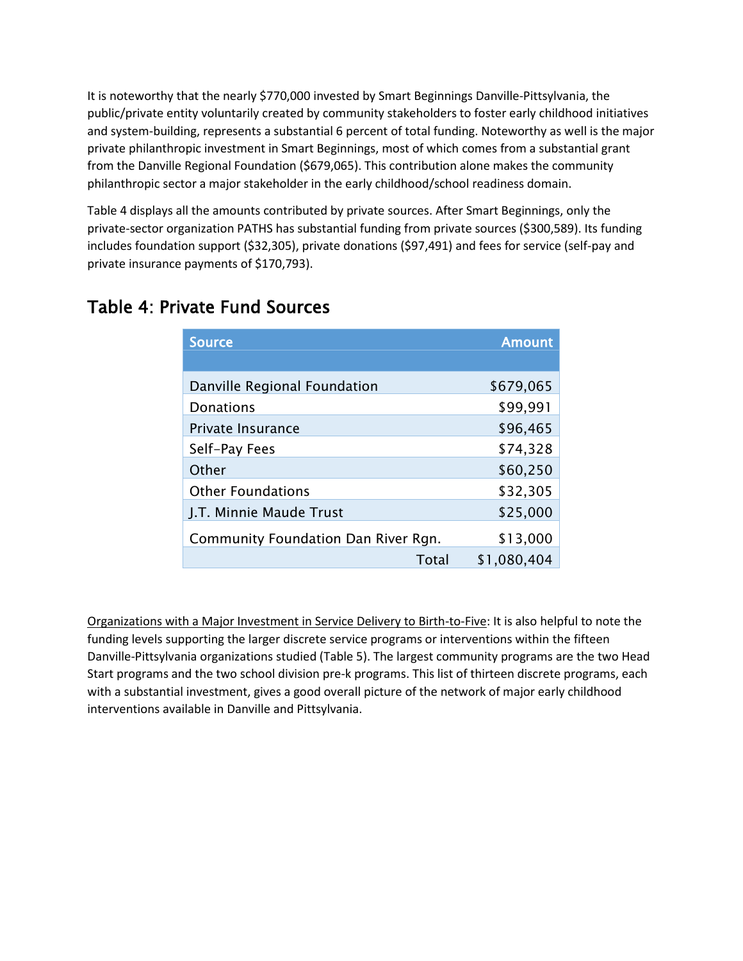It is noteworthy that the nearly \$770,000 invested by Smart Beginnings Danville-Pittsylvania, the public/private entity voluntarily created by community stakeholders to foster early childhood initiatives and system-building, represents a substantial 6 percent of total funding. Noteworthy as well is the major private philanthropic investment in Smart Beginnings, most of which comes from a substantial grant from the Danville Regional Foundation (\$679,065). This contribution alone makes the community philanthropic sector a major stakeholder in the early childhood/school readiness domain.

Table 4 displays all the amounts contributed by private sources. After Smart Beginnings, only the private-sector organization PATHS has substantial funding from private sources (\$300,589). Its funding includes foundation support (\$32,305), private donations (\$97,491) and fees for service (self-pay and private insurance payments of \$170,793).

| <b>Source</b>                       | <b>Amount</b> |
|-------------------------------------|---------------|
|                                     |               |
| Danville Regional Foundation        | \$679,065     |
| <b>Donations</b>                    | \$99,991      |
| Private Insurance                   | \$96,465      |
| Self-Pay Fees                       | \$74,328      |
| Other                               | \$60,250      |
| <b>Other Foundations</b>            | \$32,305      |
| J.T. Minnie Maude Trust             | \$25,000      |
| Community Foundation Dan River Rgn. | \$13,000      |
| Total                               | \$1,080,404   |

# Table 4: Private Fund Sources

Organizations with a Major Investment in Service Delivery to Birth-to-Five: It is also helpful to note the funding levels supporting the larger discrete service programs or interventions within the fifteen Danville-Pittsylvania organizations studied (Table 5). The largest community programs are the two Head Start programs and the two school division pre-k programs. This list of thirteen discrete programs, each with a substantial investment, gives a good overall picture of the network of major early childhood interventions available in Danville and Pittsylvania.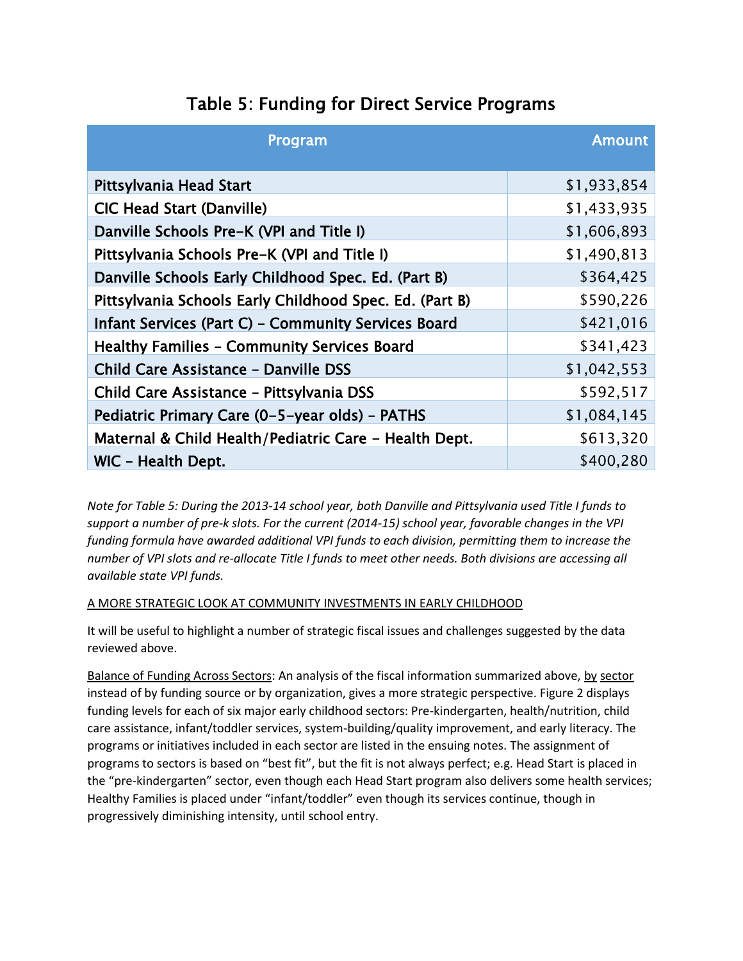|  |  |  |  |  |  | Table 5: Funding for Direct Service Programs |
|--|--|--|--|--|--|----------------------------------------------|
|--|--|--|--|--|--|----------------------------------------------|

| Program                                                 | <b>Amount</b> |
|---------------------------------------------------------|---------------|
| Pittsylvania Head Start                                 | \$1,933,854   |
| <b>CIC Head Start (Danville)</b>                        | \$1,433,935   |
| Danville Schools Pre-K (VPI and Title I)                | \$1,606,893   |
| Pittsylvania Schools Pre-K (VPI and Title I)            | \$1,490,813   |
| Danville Schools Early Childhood Spec. Ed. (Part B)     | \$364,425     |
| Pittsylvania Schools Early Childhood Spec. Ed. (Part B) | \$590,226     |
| Infant Services (Part C) - Community Services Board     | \$421,016     |
| <b>Healthy Families - Community Services Board</b>      | \$341,423     |
| <b>Child Care Assistance - Danville DSS</b>             | \$1,042,553   |
| Child Care Assistance - Pittsylvania DSS                | \$592,517     |
| Pediatric Primary Care (0-5-year olds) - PATHS          | \$1,084,145   |
| Maternal & Child Health/Pediatric Care - Health Dept.   | \$613,320     |
| WIC - Health Dept.                                      | \$400,280     |

*Note for Table 5: During the 2013-14 school year, both Danville and Pittsylvania used Title I funds to support a number of pre-k slots. For the current (2014-15) school year, favorable changes in the VPI funding formula have awarded additional VPI funds to each division, permitting them to increase the number of VPI slots and re-allocate Title I funds to meet other needs. Both divisions are accessing all available state VPI funds.* 

### A MORE STRATEGIC LOOK AT COMMUNITY INVESTMENTS IN EARLY CHILDHOOD

It will be useful to highlight a number of strategic fiscal issues and challenges suggested by the data reviewed above.

Balance of Funding Across Sectors: An analysis of the fiscal information summarized above, by sector instead of by funding source or by organization, gives a more strategic perspective. Figure 2 displays funding levels for each of six major early childhood sectors: Pre-kindergarten, health/nutrition, child care assistance, infant/toddler services, system-building/quality improvement, and early literacy. The programs or initiatives included in each sector are listed in the ensuing notes. The assignment of programs to sectors is based on "best fit", but the fit is not always perfect; e.g. Head Start is placed in the "pre-kindergarten" sector, even though each Head Start program also delivers some health services; Healthy Families is placed under "infant/toddler" even though its services continue, though in progressively diminishing intensity, until school entry.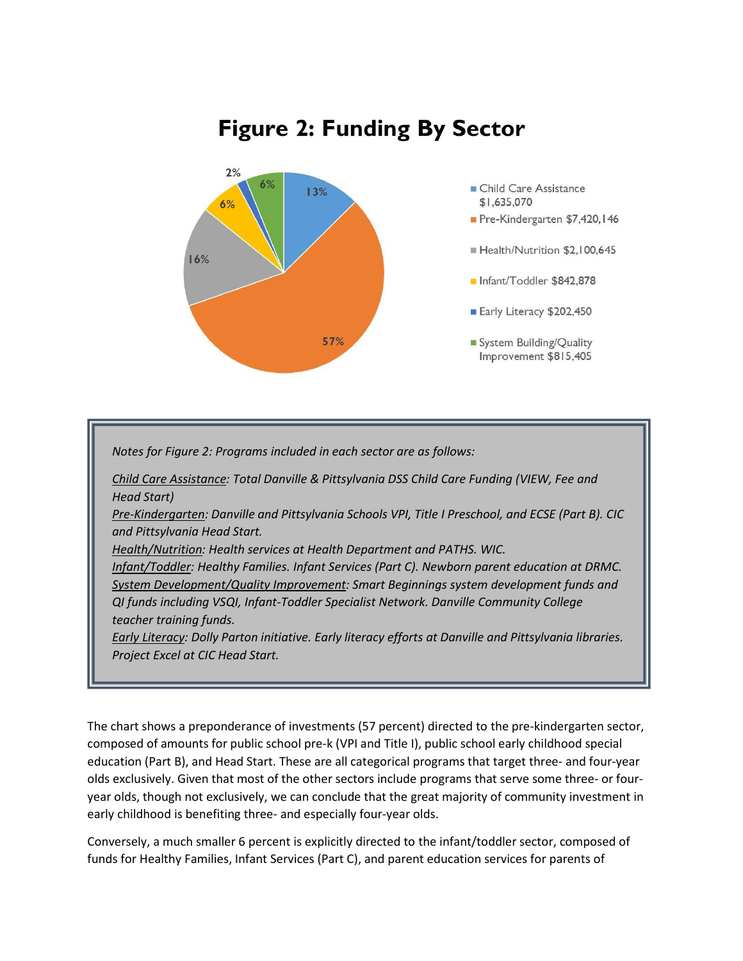# **Figure 2: Funding By Sector**



*Notes for Figure 2: Programs included in each sector are as follows:*

*Child Care Assistance: Total Danville & Pittsylvania DSS Child Care Funding (VIEW, Fee and Head Start)*

*Pre-Kindergarten: Danville and Pittsylvania Schools VPI, Title I Preschool, and ECSE (Part B). CIC and Pittsylvania Head Start.*

*Health/Nutrition: Health services at Health Department and PATHS. WIC.*

*Infant/Toddler: Healthy Families. Infant Services (Part C). Newborn parent education at DRMC. System Development/Quality Improvement: Smart Beginnings system development funds and QI funds including VSQI, Infant-Toddler Specialist Network. Danville Community College teacher training funds.*

*Early Literacy: Dolly Parton initiative. Early literacy efforts at Danville and Pittsylvania libraries. Project Excel at CIC Head Start.* 

The chart shows a preponderance of investments (57 percent) directed to the pre-kindergarten sector, composed of amounts for public school pre-k (VPI and Title I), public school early childhood special education (Part B), and Head Start. These are all categorical programs that target three- and four-year olds exclusively. Given that most of the other sectors include programs that serve some three- or fouryear olds, though not exclusively, we can conclude that the great majority of community investment in early childhood is benefiting three- and especially four-year olds.

Conversely, a much smaller 6 percent is explicitly directed to the infant/toddler sector, composed of funds for Healthy Families, Infant Services (Part C), and parent education services for parents of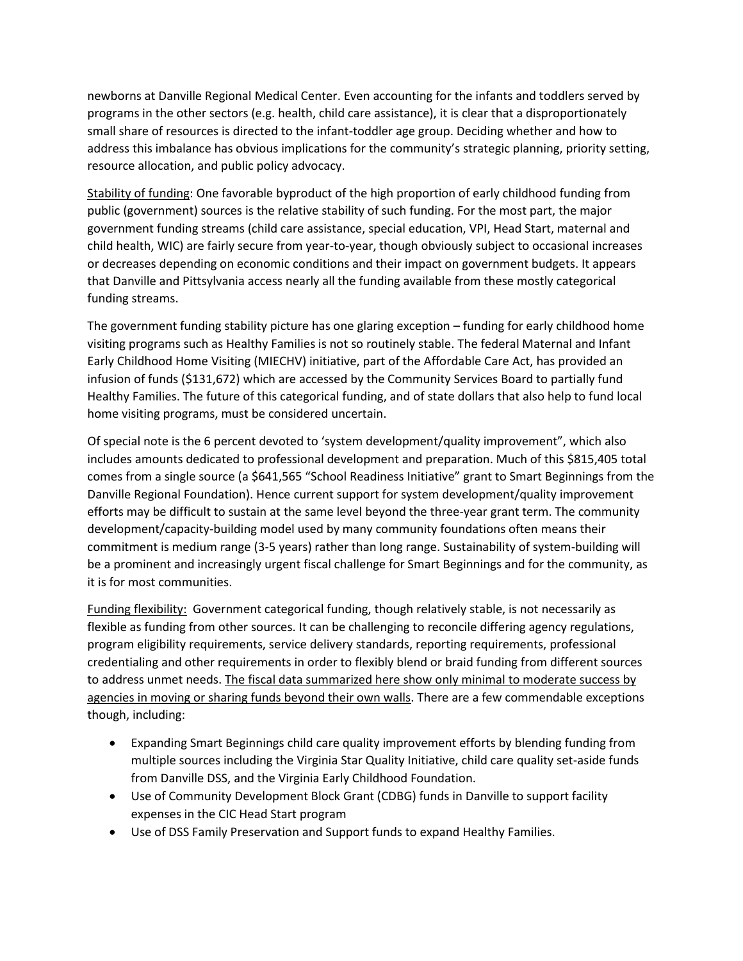newborns at Danville Regional Medical Center. Even accounting for the infants and toddlers served by programs in the other sectors (e.g. health, child care assistance), it is clear that a disproportionately small share of resources is directed to the infant-toddler age group. Deciding whether and how to address this imbalance has obvious implications for the community's strategic planning, priority setting, resource allocation, and public policy advocacy.

Stability of funding: One favorable byproduct of the high proportion of early childhood funding from public (government) sources is the relative stability of such funding. For the most part, the major government funding streams (child care assistance, special education, VPI, Head Start, maternal and child health, WIC) are fairly secure from year-to-year, though obviously subject to occasional increases or decreases depending on economic conditions and their impact on government budgets. It appears that Danville and Pittsylvania access nearly all the funding available from these mostly categorical funding streams.

The government funding stability picture has one glaring exception – funding for early childhood home visiting programs such as Healthy Families is not so routinely stable. The federal Maternal and Infant Early Childhood Home Visiting (MIECHV) initiative, part of the Affordable Care Act, has provided an infusion of funds (\$131,672) which are accessed by the Community Services Board to partially fund Healthy Families. The future of this categorical funding, and of state dollars that also help to fund local home visiting programs, must be considered uncertain.

Of special note is the 6 percent devoted to 'system development/quality improvement", which also includes amounts dedicated to professional development and preparation. Much of this \$815,405 total comes from a single source (a \$641,565 "School Readiness Initiative" grant to Smart Beginnings from the Danville Regional Foundation). Hence current support for system development/quality improvement efforts may be difficult to sustain at the same level beyond the three-year grant term. The community development/capacity-building model used by many community foundations often means their commitment is medium range (3-5 years) rather than long range. Sustainability of system-building will be a prominent and increasingly urgent fiscal challenge for Smart Beginnings and for the community, as it is for most communities.

Funding flexibility: Government categorical funding, though relatively stable, is not necessarily as flexible as funding from other sources. It can be challenging to reconcile differing agency regulations, program eligibility requirements, service delivery standards, reporting requirements, professional credentialing and other requirements in order to flexibly blend or braid funding from different sources to address unmet needs. The fiscal data summarized here show only minimal to moderate success by agencies in moving or sharing funds beyond their own walls. There are a few commendable exceptions though, including:

- Expanding Smart Beginnings child care quality improvement efforts by blending funding from multiple sources including the Virginia Star Quality Initiative, child care quality set-aside funds from Danville DSS, and the Virginia Early Childhood Foundation.
- Use of Community Development Block Grant (CDBG) funds in Danville to support facility expenses in the CIC Head Start program
- Use of DSS Family Preservation and Support funds to expand Healthy Families.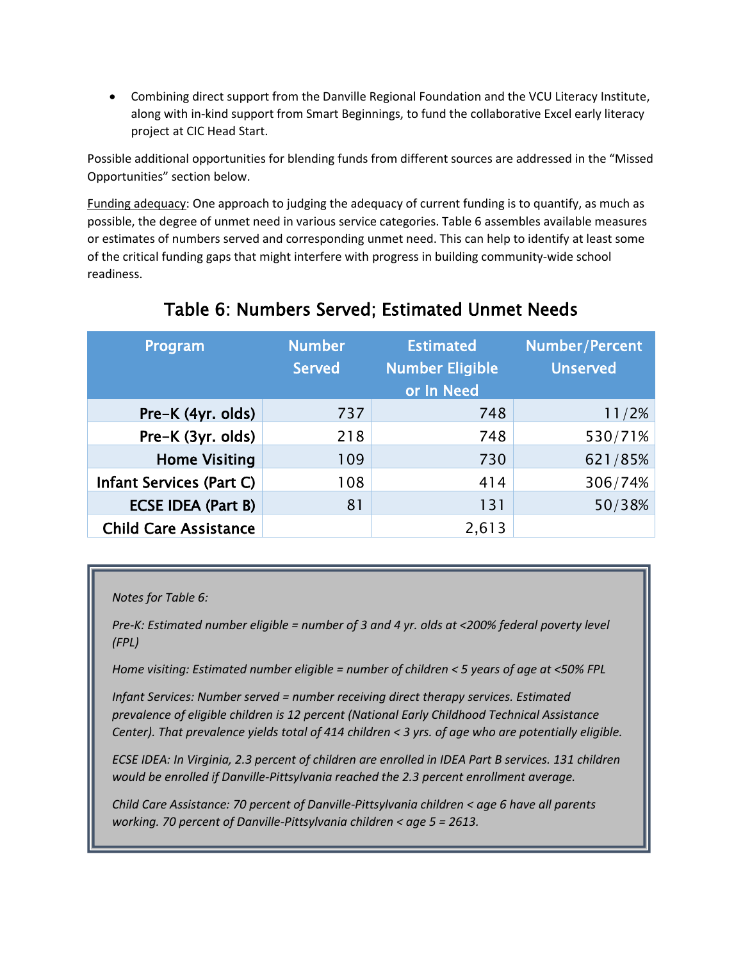Combining direct support from the Danville Regional Foundation and the VCU Literacy Institute, along with in-kind support from Smart Beginnings, to fund the collaborative Excel early literacy project at CIC Head Start.

Possible additional opportunities for blending funds from different sources are addressed in the "Missed Opportunities" section below.

Funding adequacy: One approach to judging the adequacy of current funding is to quantify, as much as possible, the degree of unmet need in various service categories. Table 6 assembles available measures or estimates of numbers served and corresponding unmet need. This can help to identify at least some of the critical funding gaps that might interfere with progress in building community-wide school readiness.

| Program                      | <b>Number</b><br><b>Served</b> | <b>Estimated</b><br><b>Number Eligible</b><br>or In Need | Number/Percent<br><b>Unserved</b> |
|------------------------------|--------------------------------|----------------------------------------------------------|-----------------------------------|
| Pre-K (4yr. olds)            | 737                            | 748                                                      | 11/2%                             |
| Pre-K (3yr. olds)            | 218                            | 748                                                      | 530/71%                           |
| <b>Home Visiting</b>         | 109                            | 730                                                      | 621/85%                           |
| Infant Services (Part C)     | 108                            | 414                                                      | 306/74%                           |
| <b>ECSE IDEA (Part B)</b>    | 81                             | 131                                                      | 50/38%                            |
| <b>Child Care Assistance</b> |                                | 2,613                                                    |                                   |

# Table 6: Numbers Served; Estimated Unmet Needs

*Notes for Table 6:*

*Pre-K: Estimated number eligible = number of 3 and 4 yr. olds at <200% federal poverty level (FPL)*

*Home visiting: Estimated number eligible = number of children < 5 years of age at <50% FPL*

*Infant Services: Number served = number receiving direct therapy services. Estimated prevalence of eligible children is 12 percent (National Early Childhood Technical Assistance Center). That prevalence yields total of 414 children < 3 yrs. of age who are potentially eligible.* 

*ECSE IDEA: In Virginia, 2.3 percent of children are enrolled in IDEA Part B services. 131 children would be enrolled if Danville-Pittsylvania reached the 2.3 percent enrollment average.* 

*Child Care Assistance: 70 percent of Danville-Pittsylvania children < age 6 have all parents working. 70 percent of Danville-Pittsylvania children < age 5 = 2613.*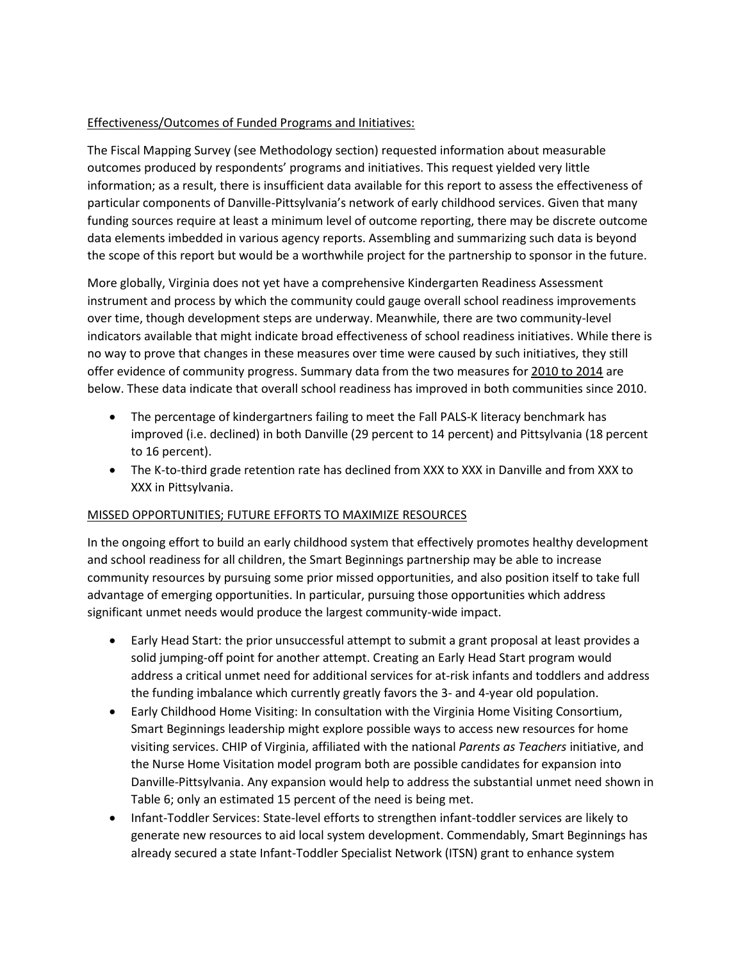## Effectiveness/Outcomes of Funded Programs and Initiatives:

The Fiscal Mapping Survey (see Methodology section) requested information about measurable outcomes produced by respondents' programs and initiatives. This request yielded very little information; as a result, there is insufficient data available for this report to assess the effectiveness of particular components of Danville-Pittsylvania's network of early childhood services. Given that many funding sources require at least a minimum level of outcome reporting, there may be discrete outcome data elements imbedded in various agency reports. Assembling and summarizing such data is beyond the scope of this report but would be a worthwhile project for the partnership to sponsor in the future.

More globally, Virginia does not yet have a comprehensive Kindergarten Readiness Assessment instrument and process by which the community could gauge overall school readiness improvements over time, though development steps are underway. Meanwhile, there are two community-level indicators available that might indicate broad effectiveness of school readiness initiatives. While there is no way to prove that changes in these measures over time were caused by such initiatives, they still offer evidence of community progress. Summary data from the two measures for 2010 to 2014 are below. These data indicate that overall school readiness has improved in both communities since 2010.

- The percentage of kindergartners failing to meet the Fall PALS-K literacy benchmark has improved (i.e. declined) in both Danville (29 percent to 14 percent) and Pittsylvania (18 percent to 16 percent).
- The K-to-third grade retention rate has declined from XXX to XXX in Danville and from XXX to XXX in Pittsylvania.

### MISSED OPPORTUNITIES; FUTURE EFFORTS TO MAXIMIZE RESOURCES

In the ongoing effort to build an early childhood system that effectively promotes healthy development and school readiness for all children, the Smart Beginnings partnership may be able to increase community resources by pursuing some prior missed opportunities, and also position itself to take full advantage of emerging opportunities. In particular, pursuing those opportunities which address significant unmet needs would produce the largest community-wide impact.

- Early Head Start: the prior unsuccessful attempt to submit a grant proposal at least provides a solid jumping-off point for another attempt. Creating an Early Head Start program would address a critical unmet need for additional services for at-risk infants and toddlers and address the funding imbalance which currently greatly favors the 3- and 4-year old population.
- Early Childhood Home Visiting: In consultation with the Virginia Home Visiting Consortium, Smart Beginnings leadership might explore possible ways to access new resources for home visiting services. CHIP of Virginia, affiliated with the national *Parents as Teachers* initiative, and the Nurse Home Visitation model program both are possible candidates for expansion into Danville-Pittsylvania. Any expansion would help to address the substantial unmet need shown in Table 6; only an estimated 15 percent of the need is being met.
- Infant-Toddler Services: State-level efforts to strengthen infant-toddler services are likely to generate new resources to aid local system development. Commendably, Smart Beginnings has already secured a state Infant-Toddler Specialist Network (ITSN) grant to enhance system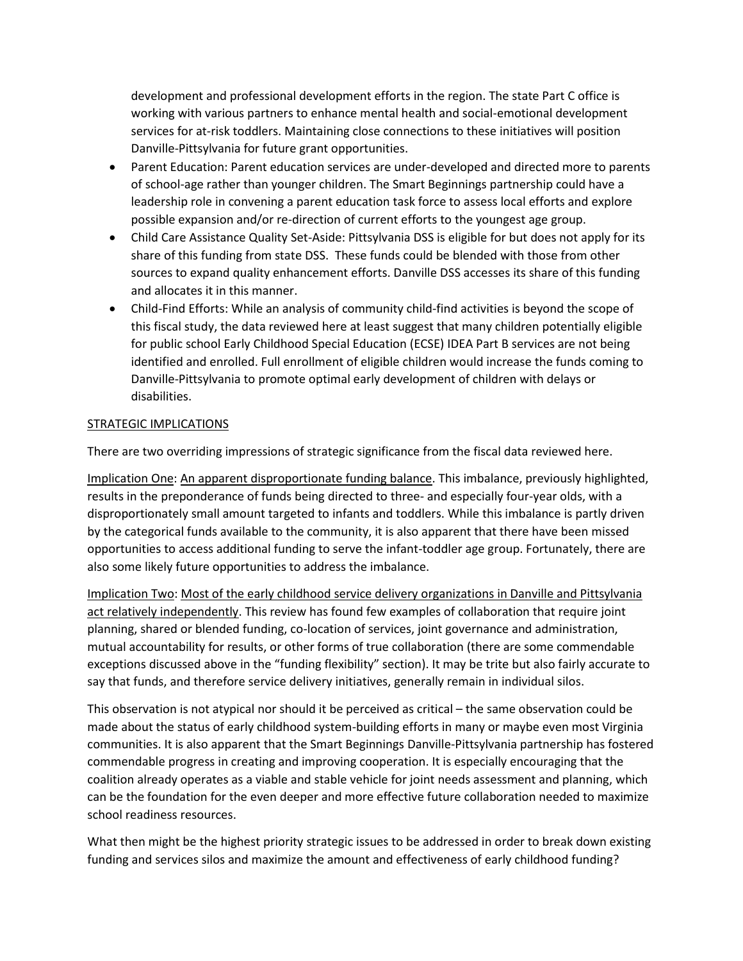development and professional development efforts in the region. The state Part C office is working with various partners to enhance mental health and social-emotional development services for at-risk toddlers. Maintaining close connections to these initiatives will position Danville-Pittsylvania for future grant opportunities.

- Parent Education: Parent education services are under-developed and directed more to parents of school-age rather than younger children. The Smart Beginnings partnership could have a leadership role in convening a parent education task force to assess local efforts and explore possible expansion and/or re-direction of current efforts to the youngest age group.
- Child Care Assistance Quality Set-Aside: Pittsylvania DSS is eligible for but does not apply for its share of this funding from state DSS. These funds could be blended with those from other sources to expand quality enhancement efforts. Danville DSS accesses its share of this funding and allocates it in this manner.
- Child-Find Efforts: While an analysis of community child-find activities is beyond the scope of this fiscal study, the data reviewed here at least suggest that many children potentially eligible for public school Early Childhood Special Education (ECSE) IDEA Part B services are not being identified and enrolled. Full enrollment of eligible children would increase the funds coming to Danville-Pittsylvania to promote optimal early development of children with delays or disabilities.

### STRATEGIC IMPLICATIONS

There are two overriding impressions of strategic significance from the fiscal data reviewed here.

Implication One: An apparent disproportionate funding balance. This imbalance, previously highlighted, results in the preponderance of funds being directed to three- and especially four-year olds, with a disproportionately small amount targeted to infants and toddlers. While this imbalance is partly driven by the categorical funds available to the community, it is also apparent that there have been missed opportunities to access additional funding to serve the infant-toddler age group. Fortunately, there are also some likely future opportunities to address the imbalance.

Implication Two: Most of the early childhood service delivery organizations in Danville and Pittsylvania act relatively independently. This review has found few examples of collaboration that require joint planning, shared or blended funding, co-location of services, joint governance and administration, mutual accountability for results, or other forms of true collaboration (there are some commendable exceptions discussed above in the "funding flexibility" section). It may be trite but also fairly accurate to say that funds, and therefore service delivery initiatives, generally remain in individual silos.

This observation is not atypical nor should it be perceived as critical – the same observation could be made about the status of early childhood system-building efforts in many or maybe even most Virginia communities. It is also apparent that the Smart Beginnings Danville-Pittsylvania partnership has fostered commendable progress in creating and improving cooperation. It is especially encouraging that the coalition already operates as a viable and stable vehicle for joint needs assessment and planning, which can be the foundation for the even deeper and more effective future collaboration needed to maximize school readiness resources.

What then might be the highest priority strategic issues to be addressed in order to break down existing funding and services silos and maximize the amount and effectiveness of early childhood funding?